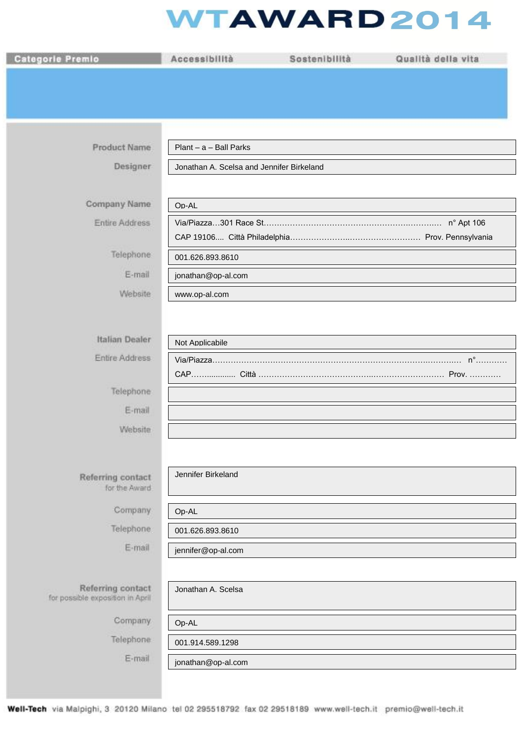## **WTAWARD2014**

| <b>Categorie Premio</b>                               | Accessibilità                             | Sostenibilità | Qualità della vita |
|-------------------------------------------------------|-------------------------------------------|---------------|--------------------|
|                                                       |                                           |               |                    |
|                                                       |                                           |               |                    |
|                                                       |                                           |               |                    |
| <b>Product Name</b>                                   | Plant - a - Ball Parks                    |               |                    |
| Designer                                              | Jonathan A. Scelsa and Jennifer Birkeland |               |                    |
|                                                       |                                           |               |                    |
| Company Name                                          | Op-AL                                     |               |                    |
| <b>Entire Address</b>                                 |                                           |               | n° Apt 106         |
|                                                       |                                           |               |                    |
| <b>Telephone</b><br>E-mail                            | 001.626.893.8610                          |               |                    |
| Website                                               | jonathan@op-al.com<br>www.op-al.com       |               |                    |
|                                                       |                                           |               |                    |
|                                                       |                                           |               |                    |
| Italian Dealer                                        | Not Applicabile                           |               |                    |
| Entire Address                                        |                                           |               |                    |
| Telephone                                             |                                           |               |                    |
| E-mail                                                |                                           |               |                    |
| Website                                               |                                           |               |                    |
|                                                       |                                           |               |                    |
| Referring contact                                     | Jennifer Birkeland                        |               |                    |
| for the Award                                         |                                           |               |                    |
| Company                                               | Op-AL                                     |               |                    |
| Telephone.                                            | 001.626.893.8610                          |               |                    |
| E-mail                                                | jennifer@op-al.com                        |               |                    |
|                                                       |                                           |               |                    |
| Referring contact<br>for possible exposition in April | Jonathan A. Scelsa                        |               |                    |
| Company                                               | Op-AL                                     |               |                    |
| Telephone                                             | 001.914.589.1298                          |               |                    |
| E-mail                                                | jonathan@op-al.com                        |               |                    |
|                                                       |                                           |               |                    |